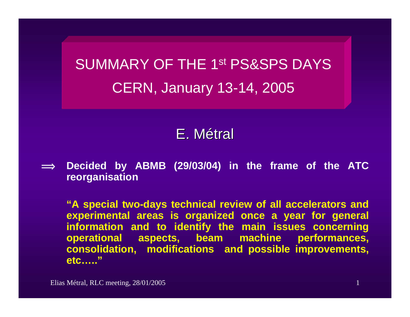SUMMARY OF THE 1st PS&SPS DAYSCERN, January 13-14, 2005

# E.Métral

 $\implies$  **Decided by ABMB (29/03/04) in the frame of the ATC reorganisation**

**"A special two-days technical review of all accelerators and experimental areas is organized once a year for general information and to identify the main issues concerning operational aspects, beam machine performances, consolidation, modifications and possible improvements, etc….."**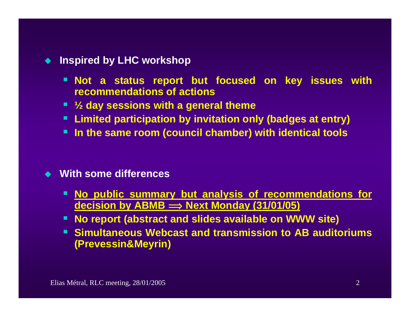#### ♦ **Inspired by LHC workshop**

- **Not a status report but focused on key issues with recommendations of actions**
- **½ day sessions with a general theme**
- **Limited participation by invitation only (badges at entry)**
- **In the same room (council chamber) with identical tools**

#### **With some differences**

- **No public summary but analysis of recommendations for decision by ABMB î Next Monday (31/01/05)**
- **No report (abstract and slides available on WWW site)**
- **Simultaneous Webcast and transmission to AB auditoriums (Prevessin&Meyrin)**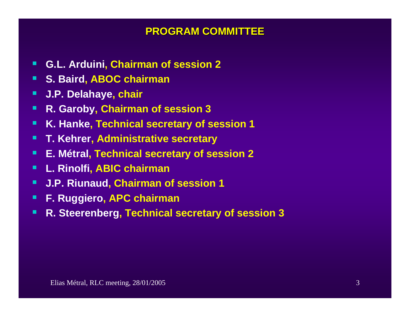#### **PROGRAM COMMITTEE PROGRAM COMMITTEE**

- Г **G.L. Arduini, Chairman of session 2**
- П **S. Baird, ABOC chairman**
- П **J.P. Delahaye, chair**
- п **R. Garoby, Chairman of session 3**
- п **K. Hanke, Technical secretary of session 1**
- п **T. Kehrer, Administrative secretary**
- п **E. Métral, Technical secretary of session 2**
- $\blacksquare$ **L. Rinolfi, ABIC chairman**
- п **J.P. Riunaud, Chairman of session 1**
- п **F. Ruggiero, APC chairman**
- П **R. Steerenberg, Technical secretary of session 3**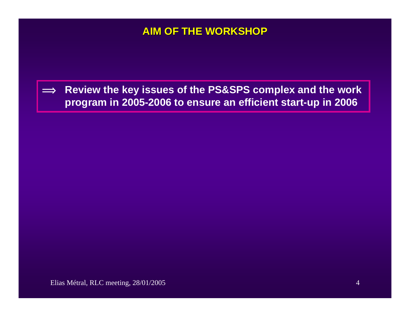### **AIM OF THE WORKSHOP AIM OF THE WORKSHOP**

 $\implies$  **Review the key issues of the PS&SPS complex and the work program in 2005-2006 to ensure an efficient start-up in 2006**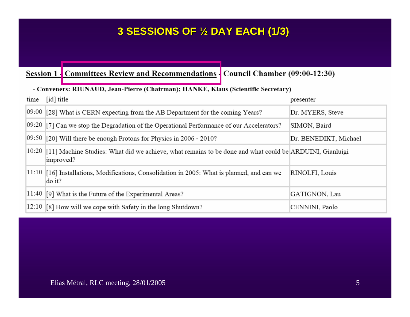# **3 SESSIONS OF 3 SESSIONS OF ½ DAY EACH (1/3) DAY EACH (1/3)**

#### Session 1 - Committees Review and Recommendations - Council Chamber (09:00-12:30)

| - Conveners: RIUNAUD, Jean-Pierre (Chairman); HANKE, Klaus (Scientific Secretary) |                                                                                                                            |                       |  |
|-----------------------------------------------------------------------------------|----------------------------------------------------------------------------------------------------------------------------|-----------------------|--|
| time                                                                              | [id] title                                                                                                                 | presenter             |  |
|                                                                                   | $[09:00]$ [28] What is CERN expecting from the AB Department for the coming Years?                                         | Dr. MYERS, Steve      |  |
|                                                                                   | $[09:20]$ [7] Can we stop the Degradation of the Operational Performance of our Accelerators?                              | SIMON, Baird          |  |
|                                                                                   | $[09:50]$ [20] Will there be enough Protons for Physics in 2006 - 2010?                                                    | Dr. BENEDIKT, Michael |  |
|                                                                                   | 10:20 [11] Machine Studies: What did we achieve, what remains to be done and what could be ARDUINI, Gianluigi<br>improved? |                       |  |
|                                                                                   | $ 11:10 $ [16] Installations, Modifications, Consolidation in 2005: What is planned, and can we<br>do it?                  | RINOLFI, Louis        |  |
|                                                                                   | $ 11:40 $ [9] What is the Future of the Experimental Areas?                                                                | GATIGNON, Lau         |  |
|                                                                                   | $ 12:10 $ [8] How will we cope with Safety in the long Shutdown?                                                           | CENNINI, Paolo        |  |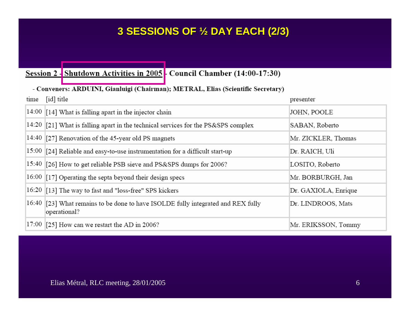# **3 SESSIONS OF 3 SESSIONS OF ½ DAY EACH (2/3) DAY EACH (2/3)**

#### Session 2 - Shutdown Activities in 2005 - Council Chamber (14:00-17:30)

#### - Conveners: ARDUINI, Gianluigi (Chairman); METRAL, Elias (Scientific Secretary)

| time | [id] title                                                                                        | presenter            |
|------|---------------------------------------------------------------------------------------------------|----------------------|
|      | $ 14:00 $ [14] What is falling apart in the injector chain                                        | JOHN, POOLE          |
|      | $14:20$ [21] What is falling apart in the technical services for the PS&SPS complex               | SABAN, Roberto       |
|      | $ 14:40 $ [27] Renovation of the 45-year old PS magnets                                           | Mr. ZICKLER, Thomas  |
|      | $\left 15:00\right\rangle$ [24] Reliable and easy-to-use instrumentation for a difficult start-up | Dr. RAICH, Uli       |
|      | 15:40 [26] How to get reliable PSB sieve and PS&SPS dumps for 2006?                               | LOSITO, Roberto      |
|      | $16:00$ $[17]$ Operating the septa beyond their design specs                                      | Mr. BORBURGH, Jan    |
|      | 16:20 [13] The way to fast and "loss-free" SPS kickers                                            | Dr. GAXIOLA, Enrique |
|      | 16:40 [23] What remains to be done to have ISOLDE fully integrated and REX fully<br>operational?  | Dr. LINDROOS, Mats   |
|      | $ 17:00 $ [25] How can we restart the AD in 2006?                                                 | Mr. ERIKSSON, Tommy  |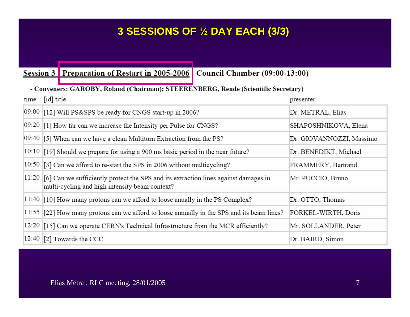# **3 SESSIONS OF 3 SESSIONS OF ½ DAY EACH (3/3) DAY EACH (3/3)**

Session 3 Preparation of Restart in 2005-2006 Council Chamber (09:00-13:00)

#### - Conveners: GAROBY, Roland (Chairman); STEERENBERG, Rende (Scientific Secretary)

| time | [id] title                                                                                                                                      | presenter                |
|------|-------------------------------------------------------------------------------------------------------------------------------------------------|--------------------------|
|      | 09:00 [12] Will PS&SPS be ready for CNGS start-up in 2006?                                                                                      | Dr. METRAL, Elias        |
|      | $[09:20]$ [1] How far can we increase the Intensity per Pulse for CNGS?                                                                         | SHAPOSHNIKOVA, Elena     |
|      | $[09:40]$ [5] When can we have a clean Multiturn Extraction from the PS?                                                                        | Dr. GIOVANNOZZI, Massimo |
|      | $10:10$ [19] Should we prepare for using a 900 ms basic period in the near future?                                                              | Dr. BENEDIKT, Michael    |
|      | 10:50 [3] Can we afford to re-start the SPS in 2006 without multicycling?                                                                       | FRAMMERY, Bertrand       |
|      | $ 11:20 $ [6] Can we sufficiently protect the SPS and its extraction lines against damages in<br>multi-cycling and high intensity beam context? | Mr. PUCCIO, Bruno        |
|      | $11:40$ [10] How many protons can we afford to loose anually in the PS Complex?                                                                 | Dr. OTTO, Thomas         |
|      | $ 11:55 $ [22] How many protons can we afford to loose annually in the SPS and its beam lines?                                                  | FORKEL-WIRTH, Doris      |
|      | 12:20 $\left[15\right]$ Can we operate CERN's Technical Infrastructure from the MCR efficiently?                                                | Mr. SOLLANDER, Peter     |
|      | $ 12:40 $ [2] Towards the CCC                                                                                                                   | Dr. BAIRD, Simon         |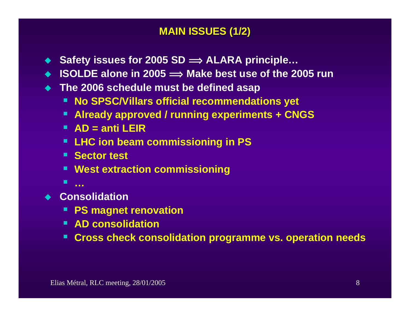### **MAIN ISSUES (1/2) MAIN ISSUES (1/2)**

- ◆ Safety issues for 2005 SD  $\implies$  ALARA principle...
- ◆ ISOLDE alone in 2005 ⇒ Make best use of the 2005 run
- **The 2006 schedule must be defined asap**
	- **No SPSC/Villars official recommendations yet**
	- **Already approved / running experiments + CNGS**
	- **AD = anti LEIR**
	- **LHC ion beam commissioning in PS**
	- **E** Sector test
	- **West extraction commissioning**
	- **…**
- ◆ Consolidation
	- **PS magnet renovation**
	- **AD consolidation**
	- **Cross check consolidation programme vs. operation needs**